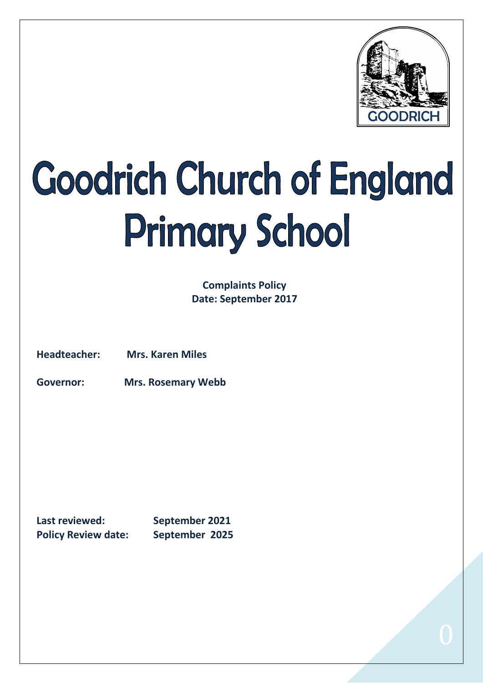

# Goodrich Church of England **Primary School**

**Complaints Policy Date: September 2017**

**Headteacher: Mrs. Karen Miles**

**Governor: Mrs. Rosemary Webb**

**Last reviewed: September 2021 Policy Review date: September 2025**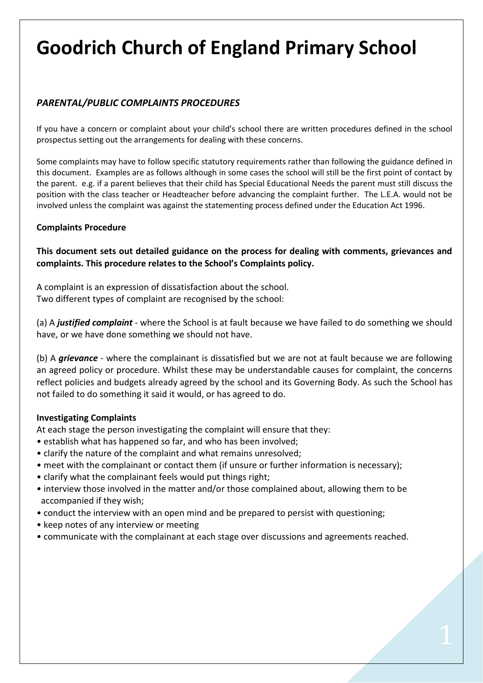# **Goodrich Church of England Primary School**

# *PARENTAL/PUBLIC COMPLAINTS PROCEDURES*

If you have a concern or complaint about your child's school there are written procedures defined in the school prospectus setting out the arrangements for dealing with these concerns.

Some complaints may have to follow specific statutory requirements rather than following the guidance defined in this document. Examples are as follows although in some cases the school will still be the first point of contact by the parent. e.g. if a parent believes that their child has Special Educational Needs the parent must still discuss the position with the class teacher or Headteacher before advancing the complaint further. The L.E.A. would not be involved unless the complaint was against the statementing process defined under the Education Act 1996.

#### **Complaints Procedure**

**This document sets out detailed guidance on the process for dealing with comments, grievances and complaints. This procedure relates to the School's Complaints policy.**

A complaint is an expression of dissatisfaction about the school. Two different types of complaint are recognised by the school:

(a) A *justified complaint* - where the School is at fault because we have failed to do something we should have, or we have done something we should not have.

(b) A *grievance* - where the complainant is dissatisfied but we are not at fault because we are following an agreed policy or procedure. Whilst these may be understandable causes for complaint, the concerns reflect policies and budgets already agreed by the school and its Governing Body. As such the School has not failed to do something it said it would, or has agreed to do.

#### **Investigating Complaints**

At each stage the person investigating the complaint will ensure that they:

- establish what has happened so far, and who has been involved;
- clarify the nature of the complaint and what remains unresolved;
- meet with the complainant or contact them (if unsure or further information is necessary);
- clarify what the complainant feels would put things right;
- interview those involved in the matter and/or those complained about, allowing them to be accompanied if they wish;
- conduct the interview with an open mind and be prepared to persist with questioning;
- keep notes of any interview or meeting
- communicate with the complainant at each stage over discussions and agreements reached.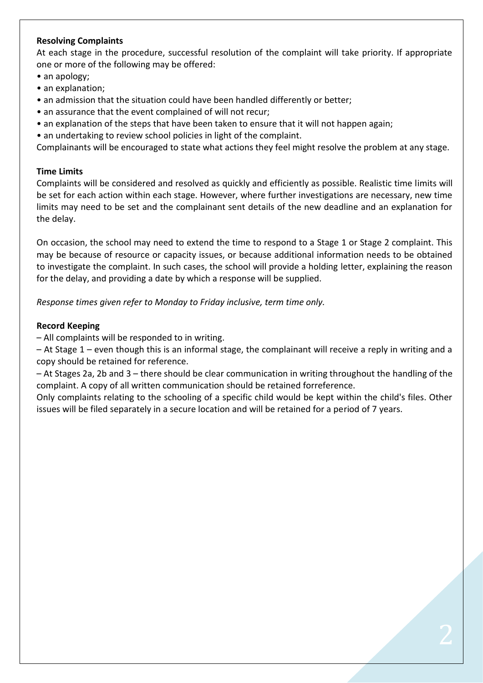#### **Resolving Complaints**

At each stage in the procedure, successful resolution of the complaint will take priority. If appropriate one or more of the following may be offered:

- an apology;
- an explanation;
- an admission that the situation could have been handled differently or better;
- an assurance that the event complained of will not recur;
- an explanation of the steps that have been taken to ensure that it will not happen again;
- an undertaking to review school policies in light of the complaint.

Complainants will be encouraged to state what actions they feel might resolve the problem at any stage.

#### **Time Limits**

Complaints will be considered and resolved as quickly and efficiently as possible. Realistic time limits will be set for each action within each stage. However, where further investigations are necessary, new time limits may need to be set and the complainant sent details of the new deadline and an explanation for the delay.

On occasion, the school may need to extend the time to respond to a Stage 1 or Stage 2 complaint. This may be because of resource or capacity issues, or because additional information needs to be obtained to investigate the complaint. In such cases, the school will provide a holding letter, explaining the reason for the delay, and providing a date by which a response will be supplied.

*Response times given refer to Monday to Friday inclusive, term time only.*

#### **Record Keeping**

– All complaints will be responded to in writing.

– At Stage 1 – even though this is an informal stage, the complainant will receive a reply in writing and a copy should be retained for reference.

– At Stages 2a, 2b and 3 – there should be clear communication in writing throughout the handling of the complaint. A copy of all written communication should be retained forreference.

Only complaints relating to the schooling of a specific child would be kept within the child's files. Other issues will be filed separately in a secure location and will be retained for a period of 7 years.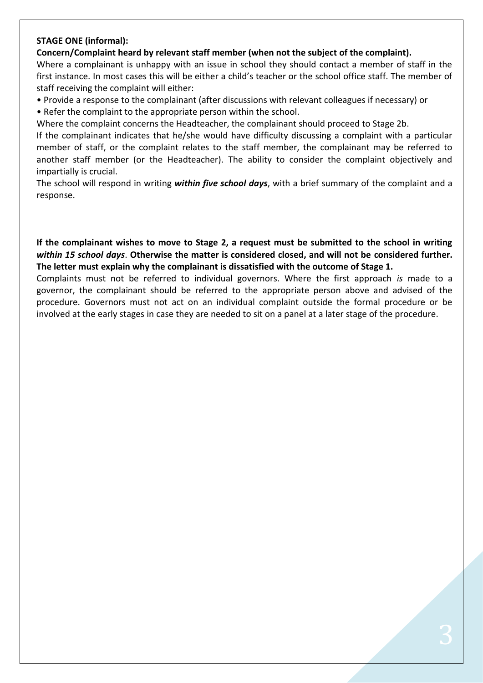#### **STAGE ONE (informal):**

**Concern/Complaint heard by relevant staff member (when not the subject of the complaint).**

Where a complainant is unhappy with an issue in school they should contact a member of staff in the first instance. In most cases this will be either a child's teacher or the school office staff. The member of staff receiving the complaint will either:

- Provide a response to the complainant (after discussions with relevant colleagues if necessary) or
- Refer the complaint to the appropriate person within the school.

Where the complaint concerns the Headteacher, the complainant should proceed to Stage 2b.

If the complainant indicates that he/she would have difficulty discussing a complaint with a particular member of staff, or the complaint relates to the staff member, the complainant may be referred to another staff member (or the Headteacher). The ability to consider the complaint objectively and impartially is crucial.

The school will respond in writing *within five school days*, with a brief summary of the complaint and a response.

**If the complainant wishes to move to Stage 2, a request must be submitted to the school in writing**  *within 15 school days*. **Otherwise the matter is considered closed, and will not be considered further. The letter must explain why the complainant is dissatisfied with the outcome of Stage 1.**

Complaints must not be referred to individual governors. Where the first approach *is* made to a governor, the complainant should be referred to the appropriate person above and advised of the procedure. Governors must not act on an individual complaint outside the formal procedure or be involved at the early stages in case they are needed to sit on a panel at a later stage of the procedure.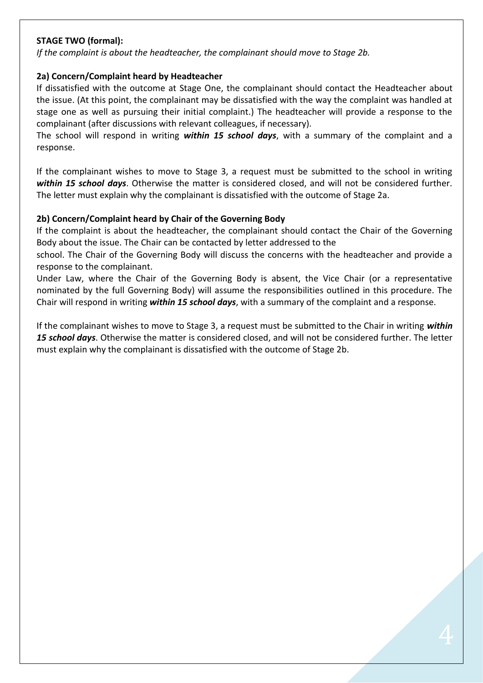## **STAGE TWO (formal):**

*If the complaint is about the headteacher, the complainant should move to Stage 2b.*

#### **2a) Concern/Complaint heard by Headteacher**

If dissatisfied with the outcome at Stage One, the complainant should contact the Headteacher about the issue. (At this point, the complainant may be dissatisfied with the way the complaint was handled at stage one as well as pursuing their initial complaint.) The headteacher will provide a response to the complainant (after discussions with relevant colleagues, if necessary).

The school will respond in writing *within 15 school days*, with a summary of the complaint and a response.

If the complainant wishes to move to Stage 3, a request must be submitted to the school in writing *within 15 school days*. Otherwise the matter is considered closed, and will not be considered further. The letter must explain why the complainant is dissatisfied with the outcome of Stage 2a.

#### **2b) Concern/Complaint heard by Chair of the Governing Body**

If the complaint is about the headteacher, the complainant should contact the Chair of the Governing Body about the issue. The Chair can be contacted by letter addressed to the

school. The Chair of the Governing Body will discuss the concerns with the headteacher and provide a response to the complainant.

Under Law, where the Chair of the Governing Body is absent, the Vice Chair (or a representative nominated by the full Governing Body) will assume the responsibilities outlined in this procedure. The Chair will respond in writing *within 15 school days*, with a summary of the complaint and a response.

If the complainant wishes to move to Stage 3, a request must be submitted to the Chair in writing *within 15 school days*. Otherwise the matter is considered closed, and will not be considered further. The letter must explain why the complainant is dissatisfied with the outcome of Stage 2b.